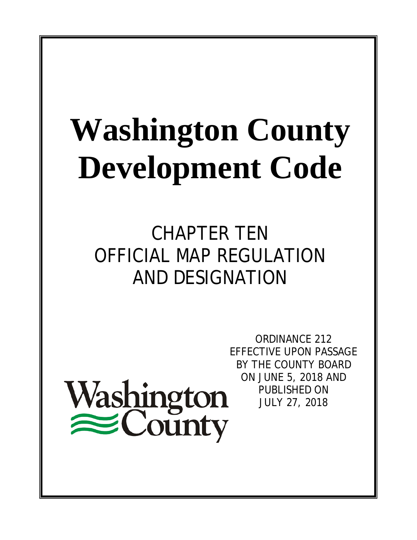# **Washington County Development Code**

CHAPTER TEN OFFICIAL MAP REGULATION AND DESIGNATION

Washington<br>
County

ORDINANCE 212 EFFECTIVE UPON PASSAGE BY THE COUNTY BOARD ON JUNE 5, 2018 AND PUBLISHED ON JULY 27, 2018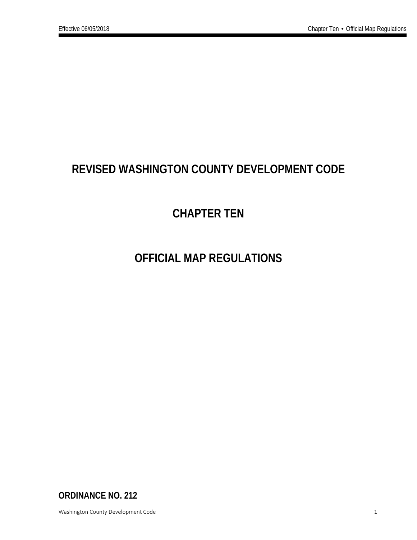# **REVISED WASHINGTON COUNTY DEVELOPMENT CODE**

# **CHAPTER TEN**

# **OFFICIAL MAP REGULATIONS**

**ORDINANCE NO. 212**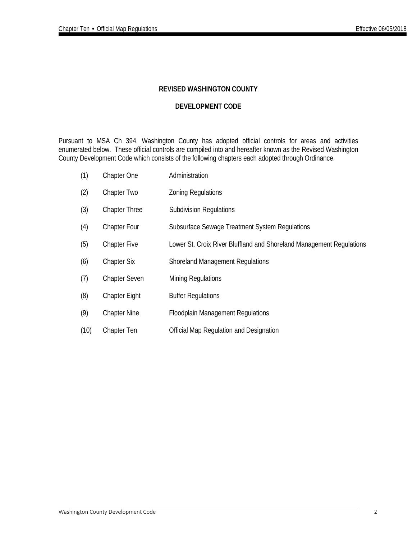#### **REVISED WASHINGTON COUNTY**

#### **DEVELOPMENT CODE**

Pursuant to MSA Ch 394, Washington County has adopted official controls for areas and activities enumerated below. These official controls are compiled into and hereafter known as the Revised Washington County Development Code which consists of the following chapters each adopted through Ordinance.

- (1) Chapter One Administration
- (2) Chapter Two Zoning Regulations
- (3) Chapter Three Subdivision Regulations
- (4) Chapter Four Subsurface Sewage Treatment System Regulations
- (5) Chapter Five Lower St. Croix River Bluffland and Shoreland Management Regulations
- (6) Chapter Six Shoreland Management Regulations
- (7) Chapter Seven Mining Regulations
- (8) Chapter Eight Buffer Regulations
- (9) Chapter Nine Floodplain Management Regulations
- (10) Chapter Ten Official Map Regulation and Designation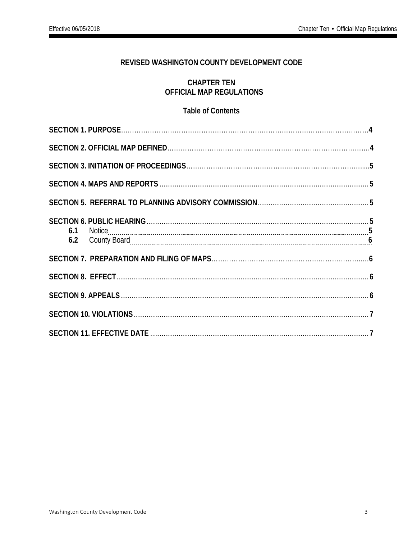#### **REVISED WASHINGTON COUNTY DEVELOPMENT CODE**

#### **CHAPTER TEN OFFICIAL MAP REGULATIONS**

#### **Table of Contents**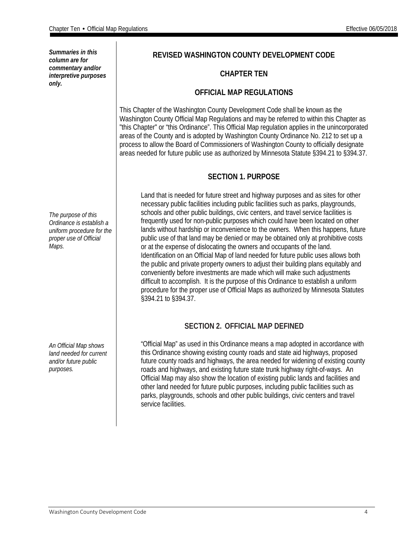*Summaries in this column are for commentary and/or interpretive purposes only.*

*The purpose of this Ordinance is establish a uniform procedure for the proper use of Official Maps.*

*An Official Map shows land needed for current and/or future public purposes.*

#### **REVISED WASHINGTON COUNTY DEVELOPMENT CODE**

#### **CHAPTER TEN**

#### **OFFICIAL MAP REGULATIONS**

This Chapter of the Washington County Development Code shall be known as the Washington County Official Map Regulations and may be referred to within this Chapter as "this Chapter" or "this Ordinance". This Official Map regulation applies in the unincorporated areas of the County and is adopted by Washington County Ordinance No. 212 to set up a process to allow the Board of Commissioners of Washington County to officially designate areas needed for future public use as authorized by Minnesota Statute §394.21 to §394.37.

#### **SECTION 1. PURPOSE**

Land that is needed for future street and highway purposes and as sites for other necessary public facilities including public facilities such as parks, playgrounds, schools and other public buildings, civic centers, and travel service facilities is frequently used for non-public purposes which could have been located on other lands without hardship or inconvenience to the owners. When this happens, future public use of that land may be denied or may be obtained only at prohibitive costs or at the expense of dislocating the owners and occupants of the land. Identification on an Official Map of land needed for future public uses allows both the public and private property owners to adjust their building plans equitably and conveniently before investments are made which will make such adjustments difficult to accomplish. It is the purpose of this Ordinance to establish a uniform procedure for the proper use of Official Maps as authorized by Minnesota Statutes §394.21 to §394.37.

#### **SECTION 2. OFFICIAL MAP DEFINED**

"Official Map" as used in this Ordinance means a map adopted in accordance with this Ordinance showing existing county roads and state aid highways, proposed future county roads and highways, the area needed for widening of existing county roads and highways, and existing future state trunk highway right-of-ways. An Official Map may also show the location of existing public lands and facilities and other land needed for future public purposes, including public facilities such as parks, playgrounds, schools and other public buildings, civic centers and travel service facilities.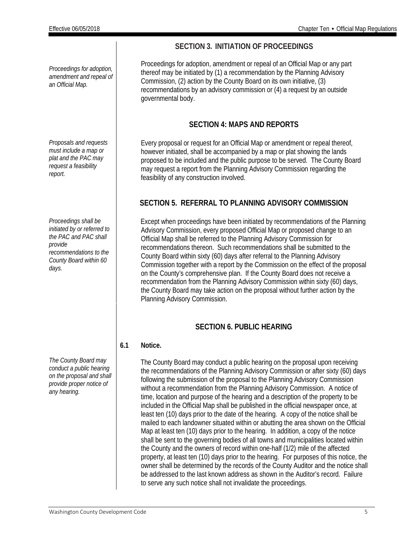*Proceedings for adoption, amendment and repeal of an Official Map.*

*Proposals and requests must include a map or plat and the PAC may request a feasibility report.*

*Proceedings shall be initiated by or referred to the PAC and PAC shall provide recommendations to the County Board within 60 days.*

*The County Board may conduct a public hearing on the proposal and shall provide proper notice of any hearing.*

### **SECTION 3. INITIATION OF PROCEEDINGS**

Proceedings for adoption, amendment or repeal of an Official Map or any part thereof may be initiated by (1) a recommendation by the Planning Advisory Commission, (2) action by the County Board on its own initiative, (3) recommendations by an advisory commission or (4) a request by an outside governmental body.

#### **SECTION 4: MAPS AND REPORTS**

<span id="page-5-0"></span>Every proposal or request for an Official Map or amendment or repeal thereof, however initiated, shall be accompanied by a map or plat showing the lands proposed to be included and the public purpose to be served. The County Board may request a report from the Planning Advisory Commission regarding the feasibility of any construction involved.

#### <span id="page-5-1"></span>**SECTION 5. REFERRAL TO PLANNING ADVISORY COMMISSION**

 Except when proceedings have been initiated by recommendations of the Planning Advisory Commission, every proposed Official Map or proposed change to an Official Map shall be referred to the Planning Advisory Commission for recommendations thereon. Such recommendations shall be submitted to the County Board within sixty (60) days after referral to the Planning Advisory Commission together with a report by the Commission on the effect of the proposal on the County's comprehensive plan. If the County Board does not receive a recommendation from the Planning Advisory Commission within sixty (60) days, the County Board may take action on the proposal without further action by the Planning Advisory Commission.

### **SECTION 6. PUBLIC HEARING**

#### <span id="page-5-2"></span>**6.1 Notice.**

 The County Board may conduct a public hearing on the proposal upon receiving the recommendations of the Planning Advisory Commission or after sixty (60) days following the submission of the proposal to the Planning Advisory Commission without a recommendation from the Planning Advisory Commission. A notice of time, location and purpose of the hearing and a description of the property to be included in the Official Map shall be published in the official newspaper once, at least ten (10) days prior to the date of the hearing. A copy of the notice shall be mailed to each landowner situated within or abutting the area shown on the Official Map at least ten (10) days prior to the hearing. In addition, a copy of the notice shall be sent to the governing bodies of all towns and municipalities located within the County and the owners of record within one-half (1/2) mile of the affected property, at least ten (10) days prior to the hearing. For purposes of this notice, the owner shall be determined by the records of the County Auditor and the notice shall be addressed to the last known address as shown in the Auditor's record. Failure to serve any such notice shall not invalidate the proceedings.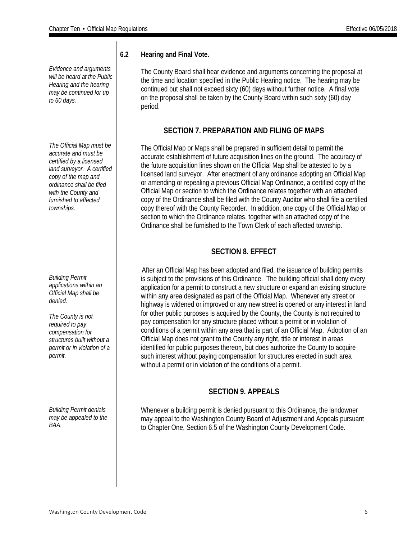*Evidence and arguments will be heard at the Public Hearing and the hearing may be continued for up to 60 days.*

*The Official Map must be accurate and must be certified by a licensed land surveyor. A certified copy of the map and ordinance shall be filed with the County and furnished to affected townships.*

*Building Permit applications within an Official Map shall be denied.*

*The County is not required to pay compensation for structures built without a permit or in violation of a permit.*

*Building Permit denials may be appealed to the BAA.*

#### **6.2 Hearing and Final Vote.**

The County Board shall hear evidence and arguments concerning the proposal at the time and location specified in the Public Hearing notice. The hearing may be continued but shall not exceed sixty (60) days without further notice. A final vote on the proposal shall be taken by the County Board within such sixty (60) day period.

#### **SECTION 7. PREPARATION AND FILING OF MAPS**

<span id="page-6-0"></span>The Official Map or Maps shall be prepared in sufficient detail to permit the accurate establishment of future acquisition lines on the ground. The accuracy of the future acquisition lines shown on the Official Map shall be attested to by a licensed land surveyor. After enactment of any ordinance adopting an Official Map or amending or repealing a previous Official Map Ordinance, a certified copy of the Official Map or section to which the Ordinance relates together with an attached copy of the Ordinance shall be filed with the County Auditor who shall file a certified copy thereof with the County Recorder. In addition, one copy of the Official Map or section to which the Ordinance relates, together with an attached copy of the Ordinance shall be furnished to the Town Clerk of each affected township.

#### **SECTION 8. EFFECT**

<span id="page-6-1"></span> After an Official Map has been adopted and filed, the issuance of building permits is subject to the provisions of this Ordinance. The building official shall deny every application for a permit to construct a new structure or expand an existing structure within any area designated as part of the Official Map. Whenever any street or highway is widened or improved or any new street is opened or any interest in land for other public purposes is acquired by the County, the County is not required to pay compensation for any structure placed without a permit or in violation of conditions of a permit within any area that is part of an Official Map. Adoption of an Official Map does not grant to the County any right, title or interest in areas identified for public purposes thereon, but does authorize the County to acquire such interest without paying compensation for structures erected in such area without a permit or in violation of the conditions of a permit.

#### **SECTION 9. APPEALS**

<span id="page-6-3"></span><span id="page-6-2"></span>Whenever a building permit is denied pursuant to this Ordinance, the landowner may appeal to the Washington County Board of Adjustment and Appeals pursuant to Chapter One, Section 6.5 of the Washington County Development Code.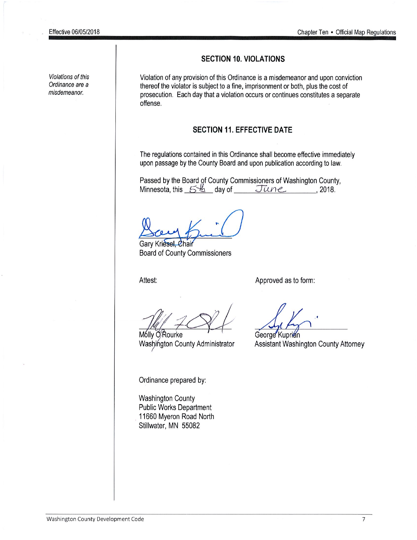Violations of this

Ordinance are a

misdemeanor.

#### **SECTION 10. VIOLATIONS**

Violation of any provision of this Ordinance is a misdemeanor and upon conviction thereof the violator is subject to a fine, imprisonment or both, plus the cost of prosecution. Each day that a violation occurs or continues constitutes a separate offense.

#### **SECTION 11. EFFECTIVE DATE**

The regulations contained in this Ordinance shall become effective immediately upon passage by the County Board and upon publication according to law.

Passed by the Board of County Commissioners of Washington County, Minnesota, this  $5\frac{1}{2}$  day of  $\frac{1}{2}$   $\frac{1}{2}$   $\frac{1}{2}$   $\frac{2018}{201}$ 

Gary Kriesel, Chair **Board of County Commissioners** 

Attest:

Approved as to form:

Mólly O'Rourke Washington County Administrator

Ordinance prepared by:

**Washington County Public Works Department** 11660 Myeron Road North Stillwater, MN 55082

George Kuprian Assistant Washington County Attorney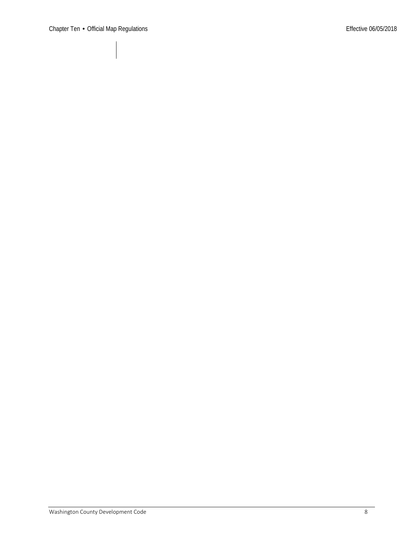Washington County Development Code 8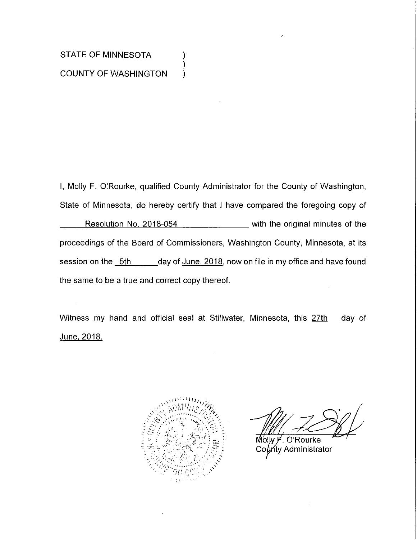## STATE OF MINNESOTA **COUNTY OF WASHINGTON**

I, Molly F. O'Rourke, qualified County Administrator for the County of Washington, State of Minnesota, do hereby certify that I have compared the foregoing copy of Resolution No. 2018-054 \_\_\_\_\_\_\_\_\_\_\_ with the original minutes of the proceedings of the Board of Commissioners, Washington County, Minnesota, at its session on the 5th \_\_\_\_\_\_day of June, 2018, now on file in my office and have found the same to be a true and correct copy thereof.

).

Witness my hand and official seal at Stillwater, Minnesota, this 27th day of <u>June, 2018.</u>



O'Rourke Molw F ท<sub>ี</sub>ty Administrator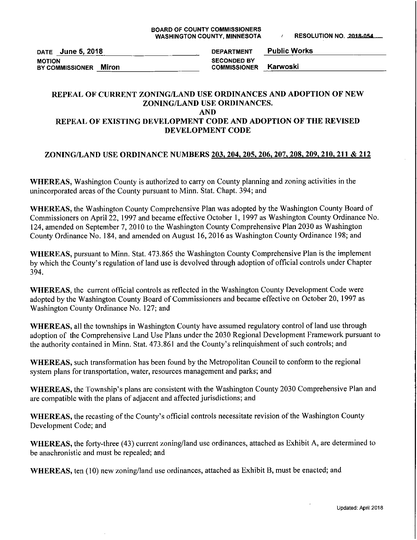DATE June 5, 2018 **MOTION** BY COMMISSIONER Miron

**Public Works DEPARTMENT SECONDED BY** Karwoski **COMMISSIONER** 

#### REPEAL OF CURRENT ZONING/LAND USE ORDINANCES AND ADOPTION OF NEW ZONING/LAND USE ORDINANCES. **AND**

#### REPEAL OF EXISTING DEVELOPMENT CODE AND ADOPTION OF THE REVISED DEVELOPMENT CODE

#### ZONING/LAND USE ORDINANCE NUMBERS 203, 204, 205, 206, 207, 208, 209, 210, 211 & 212

WHEREAS, Washington County is authorized to carry on County planning and zoning activities in the unincorporated areas of the County pursuant to Minn. Stat. Chapt. 394; and

WHEREAS, the Washington County Comprehensive Plan was adopted by the Washington County Board of Commissioners on April 22, 1997 and became effective October 1, 1997 as Washington County Ordinance No. 124, amended on September 7, 2010 to the Washington County Comprehensive Plan 2030 as Washington County Ordinance No. 184, and amended on August 16, 2016 as Washington County Ordinance 198; and

WHEREAS, pursuant to Minn. Stat. 473.865 the Washington County Comprehensive Plan is the implement by which the County's regulation of land use is devolved through adoption of official controls under Chapter 394.

**WHEREAS**, the current official controls as reflected in the Washington County Development Code were adopted by the Washington County Board of Commissioners and became effective on October 20, 1997 as Washington County Ordinance No. 127; and

WHEREAS, all the townships in Washington County have assumed regulatory control of land use through adoption of the Comprehensive Land Use Plans under the 2030 Regional Development Framework pursuant to the authority contained in Minn. Stat. 473.861 and the County's relinquishment of such controls; and

WHEREAS, such transformation has been found by the Metropolitan Council to conform to the regional system plans for transportation, water, resources management and parks; and

WHEREAS, the Township's plans are consistent with the Washington County 2030 Comprehensive Plan and are compatible with the plans of adjacent and affected jurisdictions; and

WHEREAS, the recasting of the County's official controls necessitate revision of the Washington County Development Code; and

WHEREAS, the forty-three (43) current zoning/land use ordinances, attached as Exhibit A, are determined to be anachronistic and must be repealed; and

WHEREAS, ten (10) new zoning/land use ordinances, attached as Exhibit B, must be enacted; and